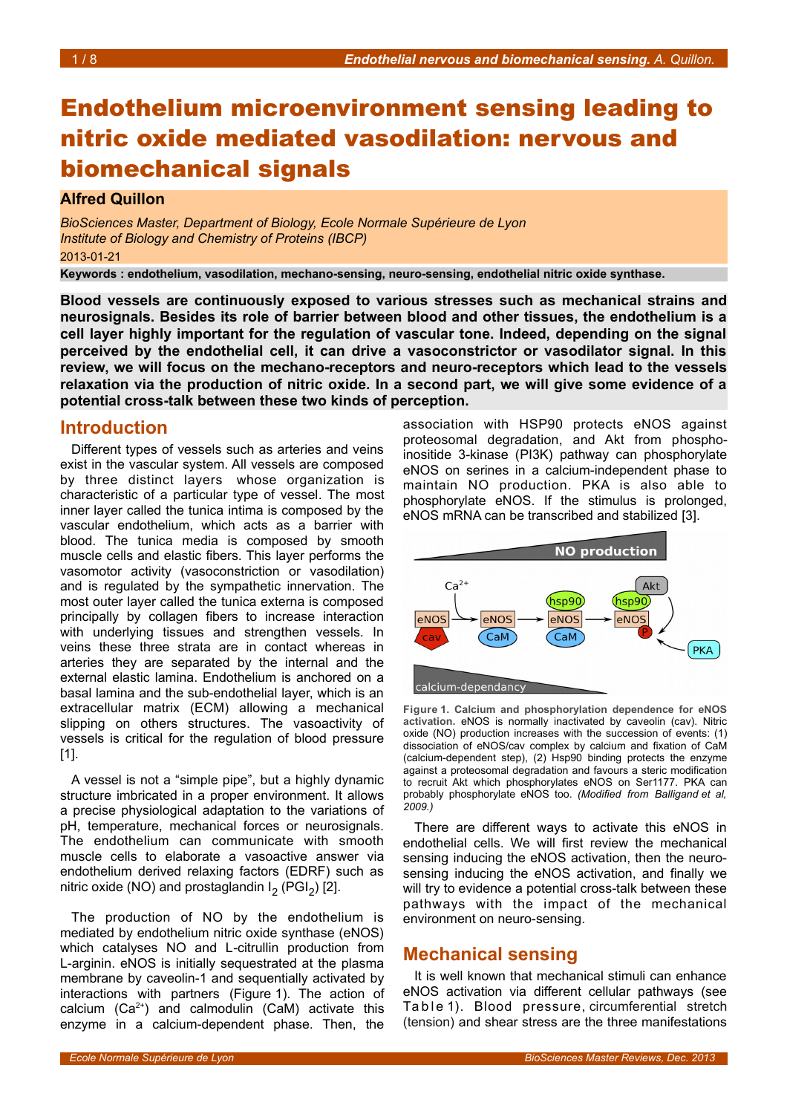# Endothelium microenvironment sensing leading to nitric oxide mediated vasodilation: nervous and biomechanical signals

# **Alfred Quillon**

*BioSciences Master, Department of Biology, Ecole Normale Supérieure de Lyon Institute of Biology and Chemistry of Proteins (IBCP)* 2013-01-21

**Keywords : endothelium, vasodilation, mechano-sensing, neuro-sensing, endothelial nitric oxide synthase.**

**Blood vessels are continuously exposed to various stresses such as mechanical strains and neurosignals. Besides its role of barrier between blood and other tissues, the endothelium is a cell layer highly important for the regulation of vascular tone. Indeed, depending on the signal perceived by the endothelial cell, it can drive a vasoconstrictor or vasodilator signal. In this review, we will focus on the mechano-receptors and neuro-receptors which lead to the vessels relaxation via the production of nitric oxide. In a second part, we will give some evidence of a potential cross-talk between these two kinds of perception.** 

# **Introduction**

Different types of vessels such as arteries and veins exist in the vascular system. All vessels are composed by three distinct layers whose organization is characteristic of a particular type of vessel. The most inner layer called the tunica intima is composed by the vascular endothelium, which acts as a barrier with blood. The tunica media is composed by smooth muscle cells and elastic fibers. This layer performs the vasomotor activity (vasoconstriction or vasodilation) and is regulated by the sympathetic innervation. The most outer layer called the tunica externa is composed principally by collagen fibers to increase interaction with underlying tissues and strengthen vessels. In veins these three strata are in contact whereas in arteries they are separated by the internal and the external elastic lamina. Endothelium is anchored on a basal lamina and the sub-endothelial layer, which is an extracellular matrix (ECM) allowing a mechanical slipping on others structures. The vasoactivity of vessels is critical for the regulation of blood pressure [1].

A vessel is not a "simple pipe", but a highly dynamic structure imbricated in a proper environment. It allows a precise physiological adaptation to the variations of pH, temperature, mechanical forces or neurosignals. The endothelium can communicate with smooth muscle cells to elaborate a vasoactive answer via endothelium derived relaxing factors (EDRF) such as nitric oxide (NO) and prostaglandin  $I_2$  (PGI<sub>2</sub>) [2].

The production of NO by the endothelium is mediated by endothelium nitric oxide synthase (eNOS) which catalyses NO and L-citrullin production from L-arginin. eNOS is initially sequestrated at the plasma membrane by caveolin-1 and sequentially activated by interactions with partners (Figure [1\)](#page-0-0). The action of calcium  $(Ca^{2+})$  and calmodulin  $(CaM)$  activate this enzyme in a calcium-dependent phase. Then, the

association with HSP90 protects eNOS against proteosomal degradation, and Akt from phosphoinositide 3-kinase (PI3K) pathway can phosphorylate eNOS on serines in a calcium-independent phase to maintain NO production. PKA is also able to phosphorylate eNOS. If the stimulus is prolonged, eNOS mRNA can be transcribed and stabilized [3].



<span id="page-0-0"></span>**Figure 1. Calcium and phosphorylation dependence for eNOS activation.** eNOS is normally inactivated by caveolin (cav). Nitric oxide (NO) production increases with the succession of events: (1) dissociation of eNOS/cav complex by calcium and fixation of CaM (calcium-dependent step), (2) Hsp90 binding protects the enzyme against a proteosomal degradation and favours a steric modification to recruit Akt which phosphorylates eNOS on Ser1177. PKA can probably phosphorylate eNOS too. *(Modified from Balligand et al, 2009.)*

There are different ways to activate this eNOS in endothelial cells. We will first review the mechanical sensing inducing the eNOS activation, then the neurosensing inducing the eNOS activation, and finally we will try to evidence a potential cross-talk between these pathways with the impact of the mechanical environment on neuro-sensing.

# **Mechanical sensing**

It is well known that mechanical stimuli can enhance eNOS activation via different cellular pathways (see Table1). Blood pressure, circumferential stretch (tension) and shear stress are the three manifestations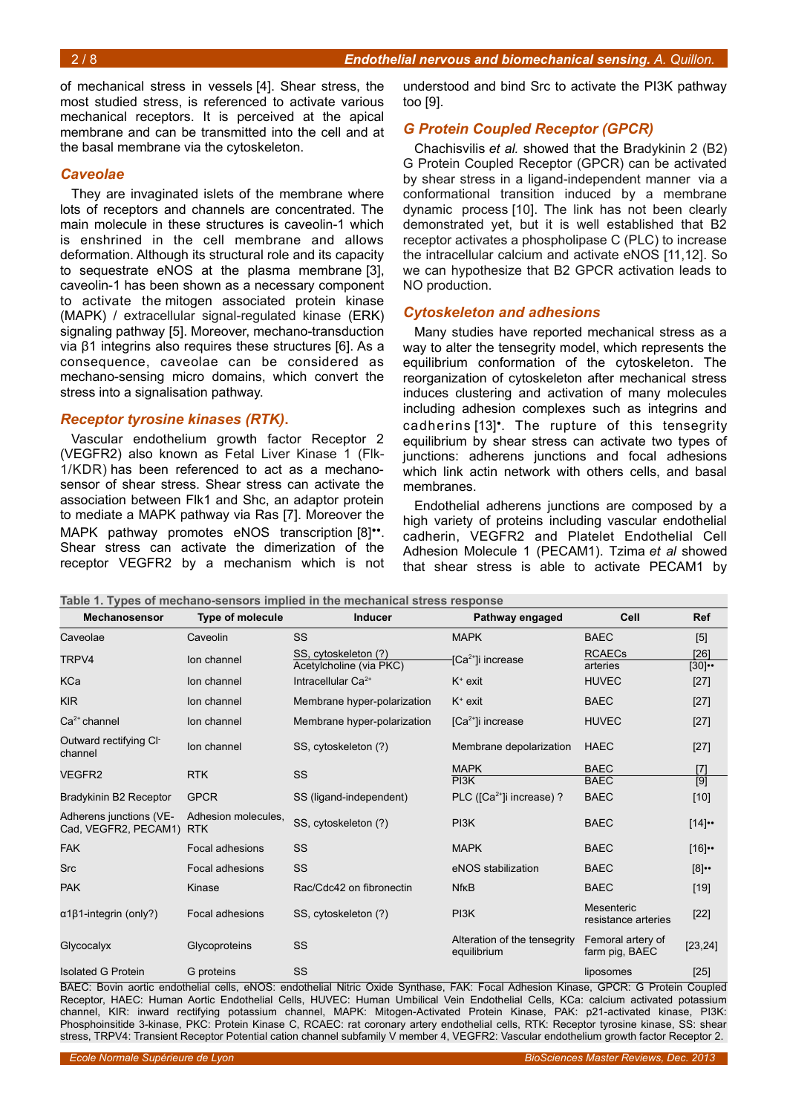of mechanical stress in vessels [4]. Shear stress, the most studied stress, is referenced to activate various mechanical receptors. It is perceived at the apical membrane and can be transmitted into the cell and at the basal membrane via the cytoskeleton.

#### *Caveolae*

They are invaginated islets of the membrane where lots of receptors and channels are concentrated. The main molecule in these structures is caveolin-1 which is enshrined in the cell membrane and allows deformation. Although its structural role and its capacity to sequestrate eNOS at the plasma membrane [3], caveolin-1 has been shown as a necessary component to activate the mitogen associated protein kinase (MAPK) / extracellular signal-regulated kinase (ERK) signaling pathway [5]. Moreover, mechano-transduction via β1 integrins also requires these structures [6]. As a consequence, caveolae can be considered as mechano-sensing micro domains, which convert the stress into a signalisation pathway.

#### *Receptor tyrosine kinases (RTK)***.**

Vascular endothelium growth factor Receptor 2 (VEGFR2) also known as Fetal Liver Kinase 1 (Flk-1/KDR) has been referenced to act as a mechanosensor of shear stress. Shear stress can activate the association between Flk1 and Shc, an adaptor protein to mediate a MAPK pathway via Ras [7]. Moreover the MAPK pathway promotes eNOS transcription [8]<sup>\*\*</sup>. Shear stress can activate the dimerization of the receptor VEGFR2 by a mechanism which is not

<span id="page-1-0"></span>**Table 1. Types of mechano-sensors implied in the mechanical stress response**

understood and bind Src to activate the PI3K pathway too [9].

#### *G Protein Coupled Receptor (GPCR)*

Chachisvilis *et al.* showed that the Bradykinin 2 (B2) G Protein Coupled Receptor (GPCR) can be activated by shear stress in a ligand-independent manner via a conformational transition induced by a membrane dynamic process [10]. The link has not been clearly demonstrated yet, but it is well established that B2 receptor activates a phospholipase C (PLC) to increase the intracellular calcium and activate eNOS [11,12]. So we can hypothesize that B2 GPCR activation leads to NO production.

#### *Cytoskeleton and adhesions*

Many studies have reported mechanical stress as a way to alter the tensegrity model, which represents the equilibrium conformation of the cytoskeleton. The reorganization of cytoskeleton after mechanical stress induces clustering and activation of many molecules including adhesion complexes such as integrins and cadherins [13]•. The rupture of this tensegrity equilibrium by shear stress can activate two types of junctions: adherens junctions and focal adhesions which link actin network with others cells, and basal membranes.

Endothelial adherens junctions are composed by a high variety of proteins including vascular endothelial cadherin, VEGFR2 and Platelet Endothelial Cell Adhesion Molecule 1 (PECAM1). Tzima *et al* showed that shear stress is able to activate PECAM1 by

| Mechanosensor                                   | <b>Type of molecule</b>           | <b>Inducer</b>                                  | Pathway engaged                             | Cell                                | <b>Ref</b>       |
|-------------------------------------------------|-----------------------------------|-------------------------------------------------|---------------------------------------------|-------------------------------------|------------------|
| Caveolae                                        | Caveolin                          | <b>SS</b>                                       | <b>MAPK</b>                                 | <b>BAEC</b>                         | [5]              |
| TRPV4                                           | Ion channel                       | SS, cytoskeleton (?)<br>Acetylcholine (via PKC) | [Ca <sup>2+</sup> ]i increase               | <b>RCAECs</b><br>arteries           | [26]<br>$[30]$ . |
| KCa                                             | Ion channel                       | Intracellular $Ca^{2+}$                         | $K^+$ exit                                  | <b>HUVEC</b>                        | $[27]$           |
| <b>KIR</b>                                      | Ion channel                       | Membrane hyper-polarization                     | $K^*$ exit                                  | <b>BAEC</b>                         | $[27]$           |
| $Ca2+$ channel                                  | Ion channel                       | Membrane hyper-polarization                     | $[Ca2+]$ i increase                         | <b>HUVEC</b>                        | $[27]$           |
| Outward rectifying CI-<br>channel               | lon channel                       | SS, cytoskeleton (?)                            | Membrane depolarization                     | <b>HAEC</b>                         | $[27]$           |
| VEGFR2                                          | <b>RTK</b>                        | <b>SS</b>                                       | <b>MAPK</b><br>PI3K                         | <b>BAEC</b><br><b>BAEC</b>          | $[7]$            |
| Bradykinin B2 Receptor                          | <b>GPCR</b>                       | SS (ligand-independent)                         | PLC ( $[Ca2+]$ i increase) ?                | <b>BAEC</b>                         | $[9]$<br>$[10]$  |
| Adherens junctions (VE-<br>Cad, VEGFR2, PECAM1) | Adhesion molecules,<br><b>RTK</b> | SS, cytoskeleton (?)                            | PI3K                                        | <b>BAEC</b>                         | [14]             |
| <b>FAK</b>                                      | Focal adhesions                   | SS                                              | <b>MAPK</b>                                 | <b>BAEC</b>                         | [16]             |
| <b>Src</b>                                      | Focal adhesions                   | SS                                              | eNOS stabilization                          | <b>BAEC</b>                         | $[8]$ .          |
| <b>PAK</b>                                      | Kinase                            | Rac/Cdc42 on fibronectin                        | <b>Nf<sub>K</sub>B</b>                      | <b>BAEC</b>                         | $[19]$           |
| $\alpha$ 1 $\beta$ 1-integrin (only?)           | Focal adhesions                   | SS, cytoskeleton (?)                            | PI3K                                        | Mesenteric<br>resistance arteries   | $[22]$           |
| Glycocalyx                                      | Glycoproteins                     | SS                                              | Alteration of the tensegrity<br>equilibrium | Femoral artery of<br>farm pig, BAEC | [23, 24]         |
| <b>Isolated G Protein</b>                       | G proteins                        | SS                                              |                                             | liposomes                           | $[25]$           |

BAEC: Bovin aortic endothelial cells, eNOS: endothelial Nitric Oxide Synthase, FAK: Focal Adhesion Kinase, GPCR: G Protein Coupled Receptor, HAEC: Human Aortic Endothelial Cells, HUVEC: Human Umbilical Vein Endothelial Cells, KCa: calcium activated potassium channel, KIR: inward rectifying potassium channel, MAPK: Mitogen-Activated Protein Kinase, PAK: p21-activated kinase, PI3K: Phosphoinsitide 3-kinase, PKC: Protein Kinase C, RCAEC: rat coronary artery endothelial cells, RTK: Receptor tyrosine kinase, SS: shear stress, TRPV4: Transient Receptor Potential cation channel subfamily V member 4, VEGFR2: Vascular endothelium growth factor Receptor 2.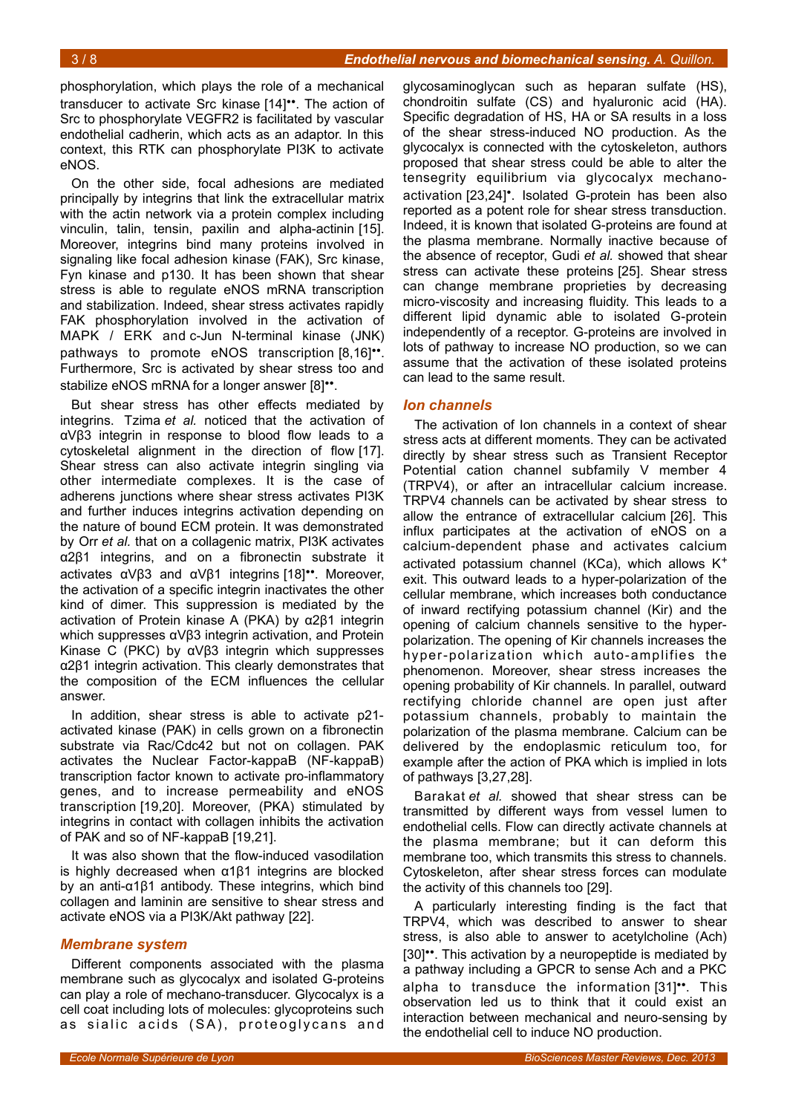phosphorylation, which plays the role of a mechanical transducer to activate Src kinase [14]••. The action of Src to phosphorylate VEGFR2 is facilitated by vascular endothelial cadherin, which acts as an adaptor. In this context, this RTK can phosphorylate PI3K to activate eNOS.

On the other side, focal adhesions are mediated principally by integrins that link the extracellular matrix with the actin network via a protein complex including vinculin, talin, tensin, paxilin and alpha-actinin [15]. Moreover, integrins bind many proteins involved in signaling like focal adhesion kinase (FAK), Src kinase, Fyn kinase and p130. It has been shown that shear stress is able to regulate eNOS mRNA transcription and stabilization. Indeed, shear stress activates rapidly FAK phosphorylation involved in the activation of MAPK / ERK and c-Jun N-terminal kinase (JNK) pathways to promote eNOS transcription [8,16]". Furthermore, Src is activated by shear stress too and stabilize eNOS mRNA for a longer answer [8]<sup>••</sup>.

But shear stress has other effects mediated by integrins. Tzima *et al.* noticed that the activation of αVβ3 integrin in response to blood flow leads to a cytoskeletal alignment in the direction of flow [17]. Shear stress can also activate integrin singling via other intermediate complexes. It is the case of adherens junctions where shear stress activates PI3K and further induces integrins activation depending on the nature of bound ECM protein. It was demonstrated by Orr *et al.* that on a collagenic matrix, PI3K activates α2β1 integrins, and on a fibronectin substrate it activates αVβ3 and αVβ1 integrins [18]••. Moreover, the activation of a specific integrin inactivates the other kind of dimer. This suppression is mediated by the activation of Protein kinase A (PKA) by α2β1 integrin which suppresses αVβ3 integrin activation, and Protein Kinase C (PKC) by αVβ3 integrin which suppresses α2β1 integrin activation. This clearly demonstrates that the composition of the ECM influences the cellular answer.

In addition, shear stress is able to activate p21 activated kinase (PAK) in cells grown on a fibronectin substrate via Rac/Cdc42 but not on collagen. PAK activates the Nuclear Factor-kappaB (NF-kappaB) transcription factor known to activate pro-inflammatory genes, and to increase permeability and eNOS transcription [19,20]. Moreover, (PKA) stimulated by integrins in contact with collagen inhibits the activation of PAK and so of NF-kappaB [19,21].

It was also shown that the flow-induced vasodilation is highly decreased when α1β1 integrins are blocked by an anti-α1β1 antibody. These integrins, which bind collagen and laminin are sensitive to shear stress and activate eNOS via a PI3K/Akt pathway [22].

#### *Membrane system*

Different components associated with the plasma membrane such as glycocalyx and isolated G-proteins can play a role of mechano-transducer. Glycocalyx is a cell coat including lots of molecules: glycoproteins such as sialic acids (SA), proteoglycans and

glycosaminoglycan such as heparan sulfate (HS), chondroitin sulfate (CS) and hyaluronic acid (HA). Specific degradation of HS, HA or SA results in a loss of the shear stress-induced NO production. As the glycocalyx is connected with the cytoskeleton, authors proposed that shear stress could be able to alter the tensegrity equilibrium via glycocalyx mechanoactivation [23,24]•. Isolated G-protein has been also reported as a potent role for shear stress transduction. Indeed, it is known that isolated G-proteins are found at the plasma membrane. Normally inactive because of the absence of receptor, Gudi *et al.* showed that shear stress can activate these proteins [25]. Shear stress can change membrane proprieties by decreasing micro-viscosity and increasing fluidity. This leads to a different lipid dynamic able to isolated G-protein independently of a receptor. G-proteins are involved in lots of pathway to increase NO production, so we can assume that the activation of these isolated proteins can lead to the same result.

#### *Ion channels*

The activation of Ion channels in a context of shear stress acts at different moments. They can be activated directly by shear stress such as Transient Receptor Potential cation channel subfamily V member 4 (TRPV4), or after an intracellular calcium increase. TRPV4 channels can be activated by shear stress to allow the entrance of extracellular calcium [26]. This influx participates at the activation of eNOS on a calcium-dependent phase and activates calcium activated potassium channel (KCa), which allows  $K^+$ exit. This outward leads to a hyper-polarization of the cellular membrane, which increases both conductance of inward rectifying potassium channel (Kir) and the opening of calcium channels sensitive to the hyperpolarization. The opening of Kir channels increases the hyper-polarization which auto-amplifies the phenomenon. Moreover, shear stress increases the opening probability of Kir channels. In parallel, outward rectifying chloride channel are open just after potassium channels, probably to maintain the polarization of the plasma membrane. Calcium can be delivered by the endoplasmic reticulum too, for example after the action of PKA which is implied in lots of pathways [3,27,28].

Barakat *et al.* showed that shear stress can be transmitted by different ways from vessel lumen to endothelial cells. Flow can directly activate channels at the plasma membrane; but it can deform this membrane too, which transmits this stress to channels. Cytoskeleton, after shear stress forces can modulate the activity of this channels too [29].

A particularly interesting finding is the fact that TRPV4, which was described to answer to shear stress, is also able to answer to acetylcholine (Ach) [30]••. This activation by a neuropeptide is mediated by a pathway including a GPCR to sense Ach and a PKC alpha to transduce the information [31]••. This observation led us to think that it could exist an interaction between mechanical and neuro-sensing by the endothelial cell to induce NO production.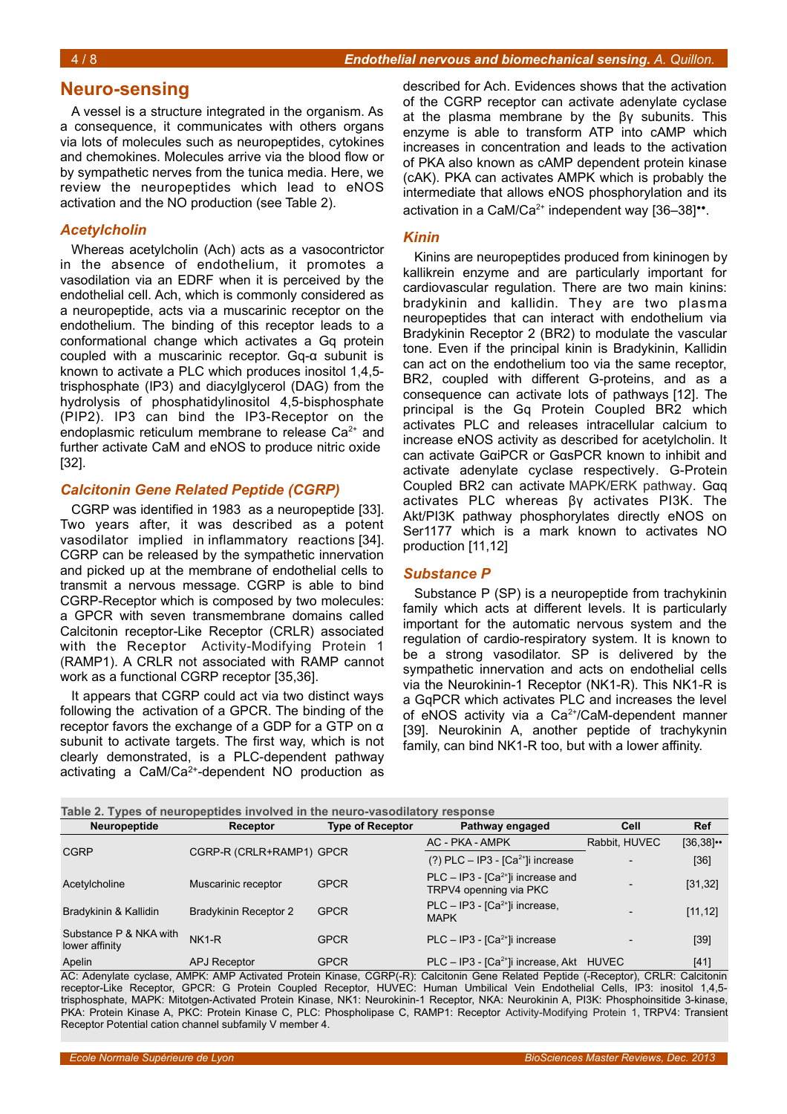# **Neuro-sensing**

A vessel is a structure integrated in the organism. As a consequence, it communicates with others organs via lots of molecules such as neuropeptides, cytokines and chemokines. Molecules arrive via the blood flow or by sympathetic nerves from the tunica media. Here, we review the neuropeptides which lead to eNOS activation and the NO production (see Table [2\)](#page-3-0).

### *Acetylcholin*

Whereas acetylcholin (Ach) acts as a vasocontrictor in the absence of endothelium, it promotes a vasodilation via an EDRF when it is perceived by the endothelial cell. Ach, which is commonly considered as a neuropeptide, acts via a muscarinic receptor on the endothelium. The binding of this receptor leads to a conformational change which activates a Gq protein coupled with a muscarinic receptor. Gq-α subunit is known to activate a PLC which produces inositol 1,4,5 trisphosphate (IP3) and diacylglycerol (DAG) from the hydrolysis of phosphatidylinositol 4,5-bisphosphate (PIP2). IP3 can bind the IP3-Receptor on the endoplasmic reticulum membrane to release  $Ca<sup>2+</sup>$  and further activate CaM and eNOS to produce nitric oxide [32].

### *Calcitonin Gene Related Peptide (CGRP)*

CGRP was identified in 1983 as a neuropeptide [33]. Two years after, it was described as a potent vasodilator implied in inflammatory reactions [34]. CGRP can be released by the sympathetic innervation and picked up at the membrane of endothelial cells to transmit a nervous message. CGRP is able to bind CGRP-Receptor which is composed by two molecules: a GPCR with seven transmembrane domains called Calcitonin receptor-Like Receptor (CRLR) associated with the Receptor Activity-Modifying Protein 1 (RAMP1). A CRLR not associated with RAMP cannot work as a functional CGRP receptor [35,36].

It appears that CGRP could act via two distinct ways following the activation of a GPCR. The binding of the receptor favors the exchange of a GDP for a GTP on α subunit to activate targets. The first way, which is not clearly demonstrated, is a PLC-dependent pathway activating a CaM/Ca2+-dependent NO production as

described for Ach. Evidences shows that the activation of the CGRP receptor can activate adenylate cyclase at the plasma membrane by the βγ subunits. This enzyme is able to transform ATP into cAMP which increases in concentration and leads to the activation of PKA also known as cAMP dependent protein kinase (cAK). PKA can activates AMPK which is probably the intermediate that allows eNOS phosphorylation and its activation in a CaM/Ca<sup>2+</sup> independent way  $[36-38]$ <sup>\*\*</sup>.

#### *Kinin*

Kinins are neuropeptides produced from kininogen by kallikrein enzyme and are particularly important for cardiovascular regulation. There are two main kinins: bradykinin and kallidin. They are two plasma neuropeptides that can interact with endothelium via Bradykinin Receptor 2 (BR2) to modulate the vascular tone. Even if the principal kinin is Bradykinin, Kallidin can act on the endothelium too via the same receptor, BR2, coupled with different G-proteins, and as a consequence can activate lots of pathways [12]. The principal is the Gq Protein Coupled BR2 which activates PLC and releases intracellular calcium to increase eNOS activity as described for acetylcholin. It can activate GαiPCR or GαsPCR known to inhibit and activate adenylate cyclase respectively. G-Protein Coupled BR2 can activate MAPK/ERK pathway. Gαq activates PLC whereas βγ activates PI3K. The Akt/PI3K pathway phosphorylates directly eNOS on Ser1177 which is a mark known to activates NO production [11,12]

#### *Substance P*

Substance P (SP) is a neuropeptide from trachykinin family which acts at different levels. It is particularly important for the automatic nervous system and the regulation of cardio-respiratory system. It is known to be a strong vasodilator. SP is delivered by the sympathetic innervation and acts on endothelial cells via the Neurokinin-1 Receptor (NK1-R). This NK1-R is a GqPCR which activates PLC and increases the level of eNOS activity via a Ca<sup>2+</sup>/CaM-dependent manner [39]. Neurokinin A, another peptide of trachykynin family, can bind NK1-R too, but with a lower affinity.

<span id="page-3-0"></span>

| Neuropeptide                             | Receptor                 | <b>Type of Receptor</b> | Pathway engaged                                                         | Cell          | <b>Ref</b>    |
|------------------------------------------|--------------------------|-------------------------|-------------------------------------------------------------------------|---------------|---------------|
| <b>CGRP</b>                              |                          |                         | AC - PKA - AMPK                                                         | Rabbit, HUVEC | $[36, 38]$ •• |
|                                          | CGRP-R (CRLR+RAMP1) GPCR |                         | $(?)$ PLC - IP3 - [Ca <sup>2+</sup> ]i increase                         |               | $[36]$        |
| Acetylcholine                            | Muscarinic receptor      | <b>GPCR</b>             | PLC - IP3 - [Ca <sup>2+</sup> ]i increase and<br>TRPV4 openning via PKC |               | [31, 32]      |
| Bradykinin & Kallidin                    | Bradykinin Receptor 2    | <b>GPCR</b>             | PLC - IP3 - $[Ca2+]$ i increase,<br><b>MAPK</b>                         |               | [11, 12]      |
| Substance P & NKA with<br>lower affinity | $NK1-R$                  | <b>GPCR</b>             | $PLC - IP3 - [Ca2+]$ i increase                                         |               | $[39]$        |
| Apelin                                   | <b>APJ Receptor</b>      | <b>GPCR</b>             | $PLC - IP3 - [Ca2+]$ i increase, Akt HUVEC                              |               | $[41]$        |

AC: Adenylate cyclase, AMPK: AMP Activated Protein Kinase, CGRP(-R): Calcitonin Gene Related Peptide (-Receptor), CRLR: Calcitonin receptor-Like Receptor, GPCR: G Protein Coupled Receptor, HUVEC: Human Umbilical Vein Endothelial Cells, IP3: inositol 1,4,5 trisphosphate, MAPK: Mitotgen-Activated Protein Kinase, NK1: Neurokinin-1 Receptor, NKA: Neurokinin A, PI3K: Phosphoinsitide 3-kinase, PKA: Protein Kinase A, PKC: Protein Kinase C, PLC: Phospholipase C, RAMP1: Receptor Activity-Modifying Protein 1, TRPV4: Transient Receptor Potential cation channel subfamily V member 4.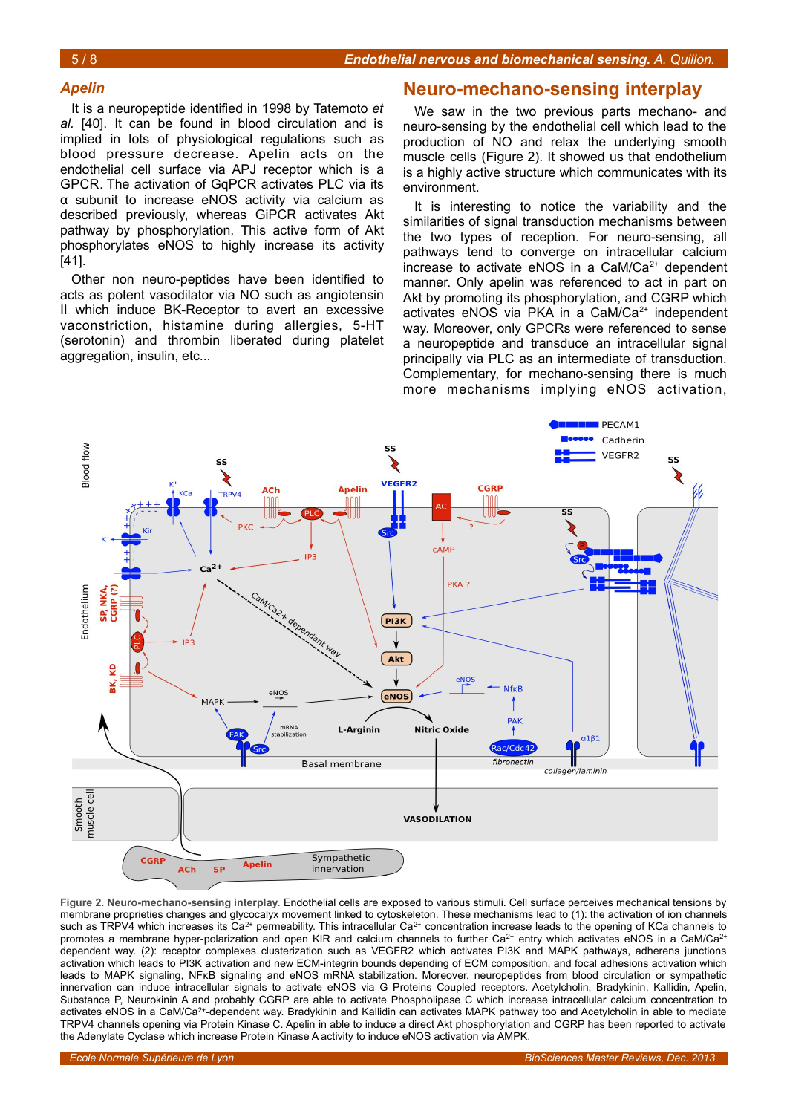#### *Apelin*

It is a neuropeptide identified in 1998 by Tatemoto *et al.* [40]. It can be found in blood circulation and is implied in lots of physiological regulations such as blood pressure decrease. Apelin acts on the endothelial cell surface via APJ receptor which is a GPCR. The activation of GqPCR activates PLC via its α subunit to increase eNOS activity via calcium as described previously, whereas GiPCR activates Akt pathway by phosphorylation. This active form of Akt phosphorylates eNOS to highly increase its activity [41].

Other non neuro-peptides have been identified to acts as potent vasodilator via NO such as angiotensin II which induce BK-Receptor to avert an excessive vaconstriction, histamine during allergies, 5-HT (serotonin) and thrombin liberated during platelet aggregation, insulin, etc...

#### **Neuro-mechano-sensing interplay**

We saw in the two previous parts mechano- and neuro-sensing by the endothelial cell which lead to the production of NO and relax the underlying smooth muscle cells (Figure [2\)](#page-4-0). It showed us that endothelium is a highly active structure which communicates with its environment.

It is interesting to notice the variability and the similarities of signal transduction mechanisms between the two types of reception. For neuro-sensing, all pathways tend to converge on intracellular calcium increase to activate eNOS in a CaM/Ca $2+$  dependent manner. Only apelin was referenced to act in part on Akt by promoting its phosphorylation, and CGRP which activates eNOS via PKA in a CaM/Ca<sup>2+</sup> independent way. Moreover, only GPCRs were referenced to sense a neuropeptide and transduce an intracellular signal principally via PLC as an intermediate of transduction. Complementary, for mechano-sensing there is much more mechanisms implying eNOS activation,



<span id="page-4-0"></span>**Figure 2. Neuro-mechano-sensing interplay.** Endothelial cells are exposed to various stimuli. Cell surface perceives mechanical tensions by membrane proprieties changes and glycocalyx movement linked to cytoskeleton. These mechanisms lead to (1): the activation of ion channels such as TRPV4 which increases its  $Ca^{2+}$  permeability. This intracellular  $Ca^{2+}$  concentration increase leads to the opening of KCa channels to promotes a membrane hyper-polarization and open KIR and calcium channels to further  $Ca^{2+}$  entry which activates eNOS in a CaM/Ca<sup>2+</sup> dependent way. (2): receptor complexes clusterization such as VEGFR2 which activates PI3K and MAPK pathways, adherens junctions activation which leads to PI3K activation and new ECM-integrin bounds depending of ECM composition, and focal adhesions activation which leads to MAPK signaling, NFκB signaling and eNOS mRNA stabilization. Moreover, neuropeptides from blood circulation or sympathetic innervation can induce intracellular signals to activate eNOS via G Proteins Coupled receptors. Acetylcholin, Bradykinin, Kallidin, Apelin, Substance P, Neurokinin A and probably CGRP are able to activate Phospholipase C which increase intracellular calcium concentration to activates eNOS in a CaM/Ca<sup>2+</sup>-dependent way. Bradykinin and Kallidin can activates MAPK pathway too and Acetylcholin in able to mediate TRPV4 channels opening via Protein Kinase C. Apelin in able to induce a direct Akt phosphorylation and CGRP has been reported to activate the Adenylate Cyclase which increase Protein Kinase A activity to induce eNOS activation via AMPK.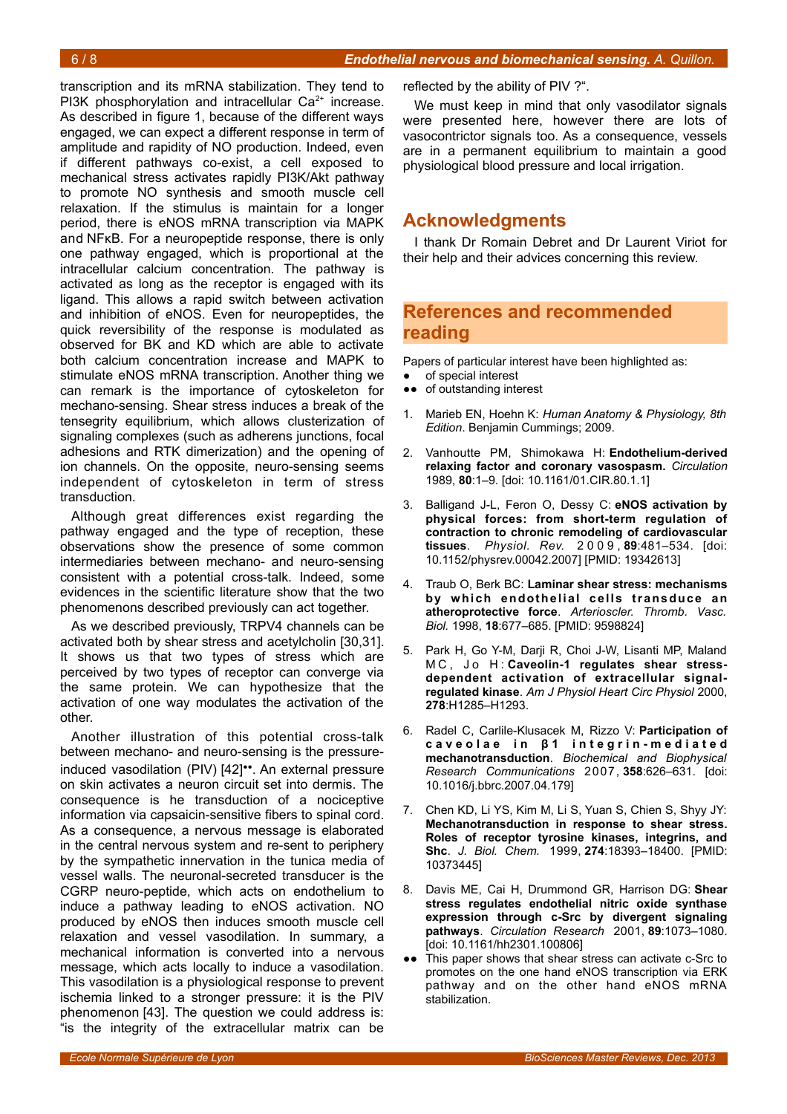transcription and its mRNA stabilization. They tend to PI3K phosphorylation and intracellular  $Ca<sup>2+</sup>$  increase. As described in figure [1,](#page-0-0) because of the different ways engaged, we can expect a different response in term of amplitude and rapidity of NO production. Indeed, even if different pathways co-exist, a cell exposed to mechanical stress activates rapidly PI3K/Akt pathway to promote NO synthesis and smooth muscle cell relaxation. If the stimulus is maintain for a longer period, there is eNOS mRNA transcription via MAPK and NFκB. For a neuropeptide response, there is only one pathway engaged, which is proportional at the intracellular calcium concentration. The pathway is activated as long as the receptor is engaged with its ligand. This allows a rapid switch between activation and inhibition of eNOS. Even for neuropeptides, the quick reversibility of the response is modulated as observed for BK and KD which are able to activate both calcium concentration increase and MAPK to stimulate eNOS mRNA transcription. Another thing we can remark is the importance of cytoskeleton for mechano-sensing. Shear stress induces a break of the tensegrity equilibrium, which allows clusterization of signaling complexes (such as adherens junctions, focal adhesions and RTK dimerization) and the opening of ion channels. On the opposite, neuro-sensing seems independent of cytoskeleton in term of stress transduction.

Although great differences exist regarding the pathway engaged and the type of reception, these observations show the presence of some common intermediaries between mechano- and neuro-sensing consistent with a potential cross-talk. Indeed, some evidences in the scientific literature show that the two phenomenons described previously can act together.

As we described previously, TRPV4 channels can be activated both by shear stress and acetylcholin [30,31]. It shows us that two types of stress which are perceived by two types of receptor can converge via the same protein. We can hypothesize that the activation of one way modulates the activation of the other.

Another illustration of this potential cross-talk between mechano- and neuro-sensing is the pressureinduced vasodilation (PIV) [42]••. An external pressure on skin activates a neuron circuit set into dermis. The consequence is he transduction of a nociceptive information via capsaicin-sensitive fibers to spinal cord. As a consequence, a nervous message is elaborated in the central nervous system and re-sent to periphery by the sympathetic innervation in the tunica media of vessel walls. The neuronal-secreted transducer is the CGRP neuro-peptide, which acts on endothelium to induce a pathway leading to eNOS activation. NO produced by eNOS then induces smooth muscle cell relaxation and vessel vasodilation. In summary, a mechanical information is converted into a nervous message, which acts locally to induce a vasodilation. This vasodilation is a physiological response to prevent ischemia linked to a stronger pressure: it is the PIV phenomenon [43]. The question we could address is: "is the integrity of the extracellular matrix can be

reflected by the ability of PIV ?".

We must keep in mind that only vasodilator signals were presented here, however there are lots of vasocontrictor signals too. As a consequence, vessels are in a permanent equilibrium to maintain a good physiological blood pressure and local irrigation.

# **Acknowledgments**

I thank Dr Romain Debret and Dr Laurent Viriot for their help and their advices concerning this review.

# **References and recommended reading**

Papers of particular interest have been highlighted as:

- of special interest
- ●● of outstanding interest
- 1. Marieb EN, Hoehn K: *Human Anatomy & Physiology, 8th Edition*. Benjamin Cummings; 2009.
- 2. Vanhoutte PM, Shimokawa H: **Endothelium-derived relaxing factor and coronary vasospasm.** *Circulation* 1989, **80**:1–9. [doi: 10.1161/01.CIR.80.1.1]
- 3. Balligand J-L, Feron O, Dessy C: **eNOS activation by physical forces: from short-term regulation of contraction to chronic remodeling of cardiovascular tissues**. *Physiol. Rev.* 2 0 0 9 , **89**:481–534. [doi: 10.1152/physrev.00042.2007] [PMID: 19342613]
- 4. Traub O, Berk BC: **Laminar shear stress: mechanisms by which endothelial cells transduce an atheroprotective force**. *Arterioscler. Thromb. Vasc. Biol.* 1998, **18**:677–685. [PMID: 9598824]
- 5. Park H, Go Y-M, Darji R, Choi J-W, Lisanti MP, Maland M C, Jo H: Caveolin-1 requlates shear stress**dependent activation of extracellular signalregulated kinase**. *Am J Physiol Heart Circ Physiol* 2000, **278**:H1285–H1293.
- 6. Radel C, Carlile-Klusacek M, Rizzo V: **Participation of** caveolae in β1 integrin-mediated **mechanotransduction**. *Biochemical and Biophysical Research Communications* 2007, **358**:626–631. [doi: 10.1016/j.bbrc.2007.04.179]
- 7. Chen KD, Li YS, Kim M, Li S, Yuan S, Chien S, Shyy JY: **Mechanotransduction in response to shear stress. Roles of receptor tyrosine kinases, integrins, and Shc**. *J. Biol. Chem.* 1999, **274**:18393–18400. [PMID: 10373445]
- 8. Davis ME, Cai H, Drummond GR, Harrison DG: **Shear stress regulates endothelial nitric oxide synthase expression through c-Src by divergent signaling pathways**. *Circulation Research* 2001, **89**:1073–1080. [doi: 10.1161/hh2301.100806]
- ●● This paper shows that shear stress can activate c-Src to promotes on the one hand eNOS transcription via ERK pathway and on the other hand eNOS mRNA stabilization.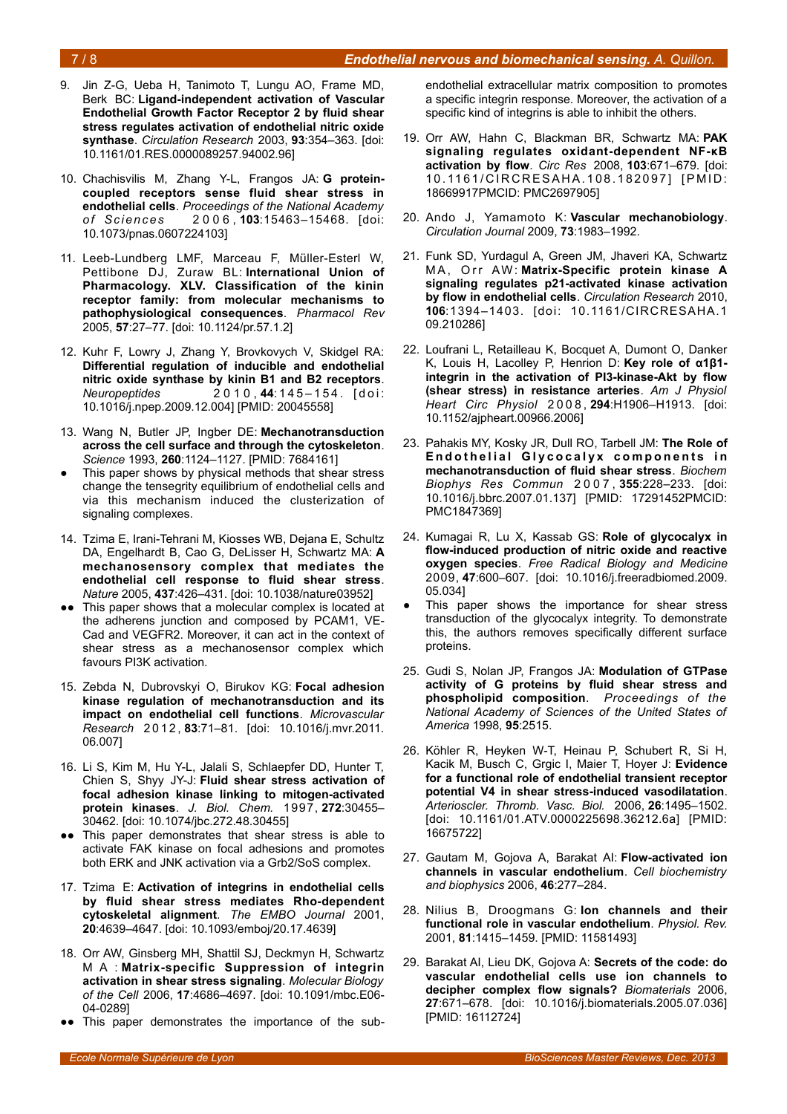### 7 / 8 *Endothelial nervous and biomechanical sensing. A. Quillon.*

- 9. Jin Z-G, Ueba H, Tanimoto T, Lungu AO, Frame MD, Berk BC: **Ligand-independent activation of Vascular Endothelial Growth Factor Receptor 2 by fluid shear stress regulates activation of endothelial nitric oxide synthase**. *Circulation Research* 2003, **93**:354–363. [doi: 10.1161/01.RES.0000089257.94002.96]
- 10. Chachisvilis M, Zhang Y-L, Frangos JA: **G proteincoupled receptors sense fluid shear stress in endothelial cells**. *Proceedings of the National Academy of Sc ien ce s* 2 0 0 6 , **103**:15463–15468. [doi: 10.1073/pnas.0607224103]
- 11. Leeb-Lundberg LMF, Marceau F, Müller-Esterl W, Pettibone DJ, Zuraw BL: **International Union of Pharmacology. XLV. Classification of the kinin receptor family: from molecular mechanisms to pathophysiological consequences**. *Pharmacol Rev* 2005, **57**:27–77. [doi: 10.1124/pr.57.1.2]
- 12. Kuhr F, Lowry J, Zhang Y, Brovkovych V, Skidgel RA: **Differential regulation of inducible and endothelial nitric oxide synthase by kinin B1 and B2 receptors**. *Neuropeptides* 2 0 1 0 , **44**: 1 4 5 – 1 5 4 . [ d o i : 10.1016/j.npep.2009.12.004] [PMID: 20045558]
- 13. Wang N, Butler JP, Ingber DE: **Mechanotransduction across the cell surface and through the cytoskeleton**. *Science* 1993, **260**:1124–1127. [PMID: 7684161]
- This paper shows by physical methods that shear stress change the tensegrity equilibrium of endothelial cells and via this mechanism induced the clusterization of signaling complexes.
- 14. Tzima E, Irani-Tehrani M, Kiosses WB, Dejana E, Schultz DA, Engelhardt B, Cao G, DeLisser H, Schwartz MA: **A mechanosensory complex that mediates the endothelial cell response to fluid shear stress**. *Nature* 2005, **437**:426–431. [doi: 10.1038/nature03952]
- This paper shows that a molecular complex is located at the adherens junction and composed by PCAM1, VE-Cad and VEGFR2. Moreover, it can act in the context of shear stress as a mechanosensor complex which favours PI3K activation.
- 15. Zebda N, Dubrovskyi O, Birukov KG: **Focal adhesion kinase regulation of mechanotransduction and its impact on endothelial cell functions**. *Microvascular Research* 2 0 1 2 , **83**:71–81. [doi: 10.1016/j.mvr.2011. 06.007]
- 16. Li S, Kim M, Hu Y-L, Jalali S, Schlaepfer DD, Hunter T, Chien S, Shyy JY-J: **Fluid shear stress activation of focal adhesion kinase linking to mitogen-activated protein kinases**. *J. Biol. Chem.* 1997, **272**:30455– 30462. [doi: 10.1074/jbc.272.48.30455]
- ●● This paper demonstrates that shear stress is able to activate FAK kinase on focal adhesions and promotes both ERK and JNK activation via a Grb2/SoS complex.
- 17. Tzima E: **Activation of integrins in endothelial cells by fluid shear stress mediates Rho-dependent cytoskeletal alignment**. *The EMBO Journal* 2001, **20**:4639–4647. [doi: 10.1093/emboj/20.17.4639]
- 18. Orr AW, Ginsberg MH, Shattil SJ, Deckmyn H, Schwartz M A : **Matrix-specific Suppression of integrin activation in shear stress signaling**. *Molecular Biology of the Cell* 2006, **17**:4686–4697. [doi: 10.1091/mbc.E06- 04-0289]
- ●● This paper demonstrates the importance of the sub-

endothelial extracellular matrix composition to promotes a specific integrin response. Moreover, the activation of a specific kind of integrins is able to inhibit the others.

- 19. Orr AW, Hahn C, Blackman BR, Schwartz MA: **PAK signaling regulates oxidant-dependent NF-κB activation by flow**. *Circ Res* 2008, **103**:671–679. [doi: 10.1161/CIRCRESAHA.108.182097] [PMID: 18669917PMCID: PMC2697905]
- 20. Ando J, Yamamoto K: **Vascular mechanobiology**. *Circulation Journal* 2009, **73**:1983–1992.
- 21. Funk SD, Yurdagul A, Green JM, Jhaveri KA, Schwartz MA, Orr AW: Matrix-Specific protein kinase A **signaling regulates p21-activated kinase activation by flow in endothelial cells**. *Circulation Research* 2010, **106**:1394–1403. [doi: 10.1161/CIRCRESAHA.1 09.210286]
- 22. Loufrani L, Retailleau K, Bocquet A, Dumont O, Danker K, Louis H, Lacolley P, Henrion D: **Key role of α1β1 integrin in the activation of PI3-kinase-Akt by flow (shear stress) in resistance arteries**. *Am J Physiol Heart Circ Physiol* 2 0 0 8 , **294**:H1906–H1913. [doi: 10.1152/ajpheart.00966.2006]
- 23. Pahakis MY, Kosky JR, Dull RO, Tarbell JM: **The Role of Endothelial Glycocalyx components in mechanotransduction of fluid shear stress**. *Biochem Biophys Res Commun* 2 0 0 7 , **355**:228–233. [doi: 10.1016/j.bbrc.2007.01.137] [PMID: 17291452PMCID: PMC1847369]
- 24. Kumagai R, Lu X, Kassab GS: **Role of glycocalyx in flow-induced production of nitric oxide and reactive oxygen species**. *Free Radical Biology and Medicine* 2009, **47**:600–607. [doi: 10.1016/j.freeradbiomed.2009. 05.034]
- This paper shows the importance for shear stress transduction of the glycocalyx integrity. To demonstrate this, the authors removes specifically different surface proteins.
- 25. Gudi S, Nolan JP, Frangos JA: **Modulation of GTPase activity of G proteins by fluid shear stress and phospholipid composition**. *Proceedings of the National Academy of Sciences of the United States of America* 1998, **95**:2515.
- 26. Köhler R, Heyken W-T, Heinau P, Schubert R, Si H, Kacik M, Busch C, Grgic I, Maier T, Hoyer J: **Evidence for a functional role of endothelial transient receptor potential V4 in shear stress-induced vasodilatation**. *Arterioscler. Thromb. Vasc. Biol.* 2006, **26**:1495–1502. [doi: 10.1161/01.ATV.0000225698.36212.6a] [PMID: 16675722]
- 27. Gautam M, Gojova A, Barakat AI: **Flow-activated ion channels in vascular endothelium**. *Cell biochemistry and biophysics* 2006, **46**:277–284.
- 28. Nilius B, Droogmans G: **Ion channels and their functional role in vascular endothelium**. *Physiol. Rev.* 2001, **81**:1415–1459. [PMID: 11581493]
- 29. Barakat AI, Lieu DK, Gojova A: **Secrets of the code: do vascular endothelial cells use ion channels to decipher complex flow signals?** *Biomaterials* 2006, **27**:671–678. [doi: 10.1016/j.biomaterials.2005.07.036] [PMID: 16112724]